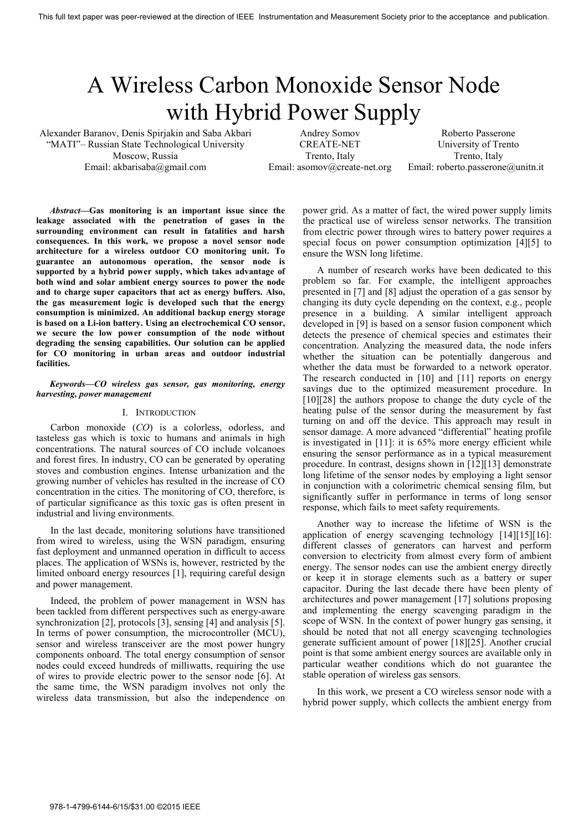# A Wireless Carbon Monoxide Sensor Node with Hybrid Power Supply

Alexander Baranov, Denis Spirjakin and Saba Akbari "MATI"– Russian State Technological University Moscow, Russia Email: akbarisaba@gmail.com

Andrey Somov CREATE-NET Trento, Italy Email: asomov@create-net.org

Roberto Passerone University of Trento Trento, Italy Email: roberto.passerone@unitn.it

*Abstract***—Gas monitoring is an important issue since the leakage associated with the penetration of gases in the surrounding environment can result in fatalities and harsh consequences. In this work, we propose a novel sensor node architecture for a wireless outdoor CO monitoring unit. To guarantee an autonomous operation, the sensor node is supported by a hybrid power supply, which takes advantage of both wind and solar ambient energy sources to power the node and to charge super capacitors that act as energy buffers. Also, the gas measurement logic is developed such that the energy consumption is minimized. An additional backup energy storage is based on a Li-ion battery. Using an electrochemical CO sensor, we secure the low power consumption of the node without degrading the sensing capabilities. Our solution can be applied for CO monitoring in urban areas and outdoor industrial facilities.** 

## *Keywords—CO wireless gas sensor, gas monitoring, energy harvesting, power management*

## I. INTRODUCTION

Carbon monoxide (*CO*) is a colorless, odorless, and tasteless gas which is toxic to humans and animals in high concentrations. The natural sources of CO include volcanoes and forest fires. In industry, CO can be generated by operating stoves and combustion engines. Intense urbanization and the growing number of vehicles has resulted in the increase of CO concentration in the cities. The monitoring of CO, therefore, is of particular significance as this toxic gas is often present in industrial and living environments.

In the last decade, monitoring solutions have transitioned from wired to wireless, using the WSN paradigm, ensuring fast deployment and unmanned operation in difficult to access places. The application of WSNs is, however, restricted by the limited onboard energy resources [1], requiring careful design and power management.

Indeed, the problem of power management in WSN has been tackled from different perspectives such as energy-aware synchronization [2], protocols [3], sensing [4] and analysis [5]. In terms of power consumption, the microcontroller (MCU), sensor and wireless transceiver are the most power hungry components onboard. The total energy consumption of sensor nodes could exceed hundreds of milliwatts, requiring the use of wires to provide electric power to the sensor node [6]. At the same time, the WSN paradigm involves not only the wireless data transmission, but also the independence on

power grid. As a matter of fact, the wired power supply limits the practical use of wireless sensor networks. The transition from electric power through wires to battery power requires a special focus on power consumption optimization [4][5] to ensure the WSN long lifetime.

A number of research works have been dedicated to this problem so far. For example, the intelligent approaches presented in [7] and [8] adjust the operation of a gas sensor by changing its duty cycle depending on the context, e.g., people presence in a building. A similar intelligent approach developed in [9] is based on a sensor fusion component which detects the presence of chemical species and estimates their concentration. Analyzing the measured data, the node infers whether the situation can be potentially dangerous and whether the data must be forwarded to a network operator. The research conducted in [10] and [11] reports on energy savings due to the optimized measurement procedure. In [10][28] the authors propose to change the duty cycle of the heating pulse of the sensor during the measurement by fast turning on and off the device. This approach may result in sensor damage. A more advanced "differential" heating profile is investigated in [11]: it is 65% more energy efficient while ensuring the sensor performance as in a typical measurement procedure. In contrast, designs shown in [12][13] demonstrate long lifetime of the sensor nodes by employing a light sensor in conjunction with a colorimetric chemical sensing film, but significantly suffer in performance in terms of long sensor response, which fails to meet safety requirements.

Another way to increase the lifetime of WSN is the application of energy scavenging technology [14][15][16]: different classes of generators can harvest and perform conversion to electricity from almost every form of ambient energy. The sensor nodes can use the ambient energy directly or keep it in storage elements such as a battery or super capacitor. During the last decade there have been plenty of architectures and power management [17] solutions proposing and implementing the energy scavenging paradigm in the scope of WSN. In the context of power hungry gas sensing, it should be noted that not all energy scavenging technologies generate sufficient amount of power [18][25]. Another crucial point is that some ambient energy sources are available only in particular weather conditions which do not guarantee the stable operation of wireless gas sensors.

In this work, we present a CO wireless sensor node with a hybrid power supply, which collects the ambient energy from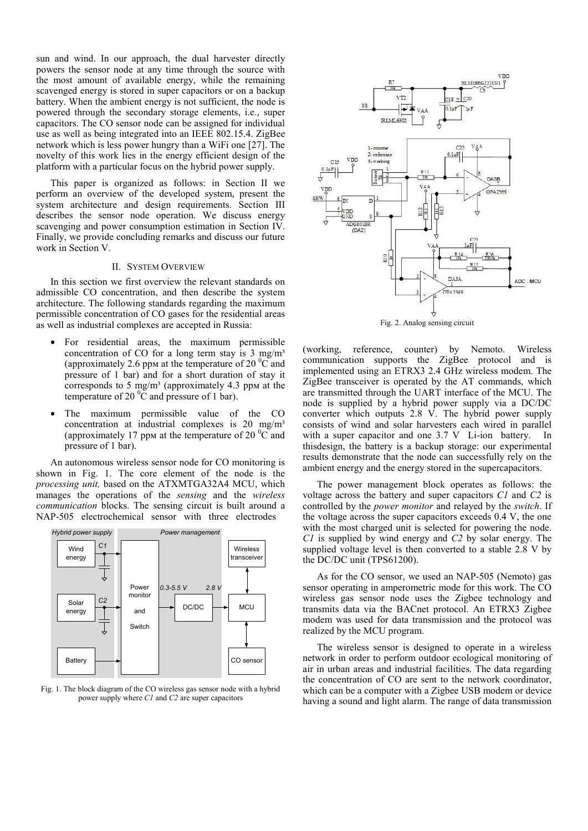sun and wind. In our approach, the dual harvester directly powers the sensor node at any time through the source with the most amount of available energy, while the remaining scavenged energy is stored in super capacitors or on a backup battery. When the ambient energy is not sufficient, the node is powered through the secondary storage elements, i.e., super capacitors. The CO sensor node can be assigned for individual use as well as being integrated into an IEEE 802.15.4. ZigBee network which is less power hungry than a WiFi one [27]. The novelty of this work lies in the energy efficient design of the platform with a particular focus on the hybrid power supply.

This paper is organized as follows: in Section II we perform an overview of the developed system, present the system architecture and design requirements. Section III describes the sensor node operation. We discuss energy scavenging and power consumption estimation in Section IV. Finally, we provide concluding remarks and discuss our future work in Section V.

# II. SYSTEM OVERVIEW

In this section we first overview the relevant standards on admissible CO concentration, and then describe the system architecture. The following standards regarding the maximum permissible concentration of CO gases for the residential areas as well as industrial complexes are accepted in Russia:

- For residential areas, the maximum permissible concentration of CO for a long term stay is  $3 \text{ mg/m}^3$ (approximately 2.6 ppm at the temperature of 20 $\mathrm{^{0}C}$  and pressure of 1 bar) and for a short duration of stay it corresponds to 5 mg/m<sup>3</sup> (approximately 4.3 ppm at the temperature of 20 ${}^{0}$ C and pressure of 1 bar).
- The maximum permissible value of the CO concentration at industrial complexes is 20 mg/m<sup>3</sup> (approximately 17 ppm at the temperature of 20  $\mathrm{^0C}$  and pressure of 1 bar).

An autonomous wireless sensor node for CO monitoring is shown in Fig. 1. The core element of the node is the *processing unit,* based on the ATXMTGA32A4 MCU, which manages the operations of the *sensing* and the *wireless communication* blocks. The sensing circuit is built around a NAP-505 electrochemical sensor with three electrodes



Fig. 1. The block diagram of the CO wireless gas sensor node with a hybrid power supply where *C1* and *C2* are super capacitors



Fig. 2. Analog sensing circuit

(working, reference, counter) by Nemoto. Wireless communication supports the ZigBee protocol and is implemented using an ETRX3 2.4 GHz wireless modem. The ZigBee transceiver is operated by the AT commands, which are transmitted through the UART interface of the MCU. The node is supplied by a hybrid power supply via a DC/DC converter which outputs 2.8 V. The hybrid power supply consists of wind and solar harvesters each wired in parallel with a super capacitor and one 3.7 V Li-ion battery. In thisdesign, the battery is a backup storage: our experimental results demonstrate that the node can successfully rely on the ambient energy and the energy stored in the supercapacitors.

The power management block operates as follows: the voltage across the battery and super capacitors *C1* and *C2* is controlled by the *power monitor* and relayed by the *switch*. If the voltage across the super capacitors exceeds 0.4 V, the one with the most charged unit is selected for powering the node. *C1* is supplied by wind energy and *C2* by solar energy. The supplied voltage level is then converted to a stable 2.8 V by the DC/DC unit (TPS61200).

As for the CO sensor, we used an NAP-505 (Nemoto) gas sensor operating in amperometric mode for this work. The CO wireless gas sensor node uses the Zigbee technology and transmits data via the BACnet protocol. An ETRX3 Zigbee modem was used for data transmission and the protocol was realized by the MCU program.

The wireless sensor is designed to operate in a wireless network in order to perform outdoor ecological monitoring of air in urban areas and industrial facilities. The data regarding the concentration of CO are sent to the network coordinator, which can be a computer with a Zigbee USB modem or device having a sound and light alarm. The range of data transmission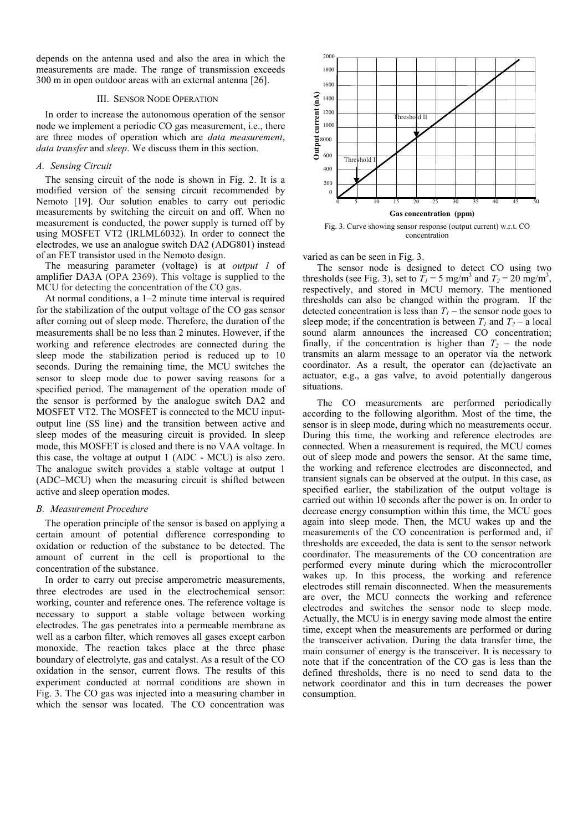depends on the antenna used and also the area in which the measurements are made. The range of transmission exceeds 300 m in open outdoor areas with an external antenna [26].

#### III. SENSOR NODE OPERATION

In order to increase the autonomous operation of the sensor node we implement a periodic CO gas measurement, i.e., there are three modes of operation which are *data measurement*, *data transfer* and *sleep*. We discuss them in this section.

# *A. Sensing Circuit*

The sensing circuit of the node is shown in Fig. 2. It is a modified version of the sensing circuit recommended by Nemoto [19]. Our solution enables to carry out periodic measurements by switching the circuit on and off. When no measurement is conducted, the power supply is turned off by using MOSFET VT2 (IRLML6032). In order to connect the electrodes, we use an analogue switch DA2 (ADG801) instead of an FET transistor used in the Nemoto design.

The measuring parameter (voltage) is at *output 1* of amplifier DA3A (OPA 2369). This voltage is supplied to the MCU for detecting the concentration of the CO gas.

At normal conditions, a 1–2 minute time interval is required for the stabilization of the output voltage of the CO gas sensor after coming out of sleep mode. Therefore, the duration of the measurements shall be no less than 2 minutes. However, if the working and reference electrodes are connected during the sleep mode the stabilization period is reduced up to 10 seconds. During the remaining time, the MCU switches the sensor to sleep mode due to power saving reasons for a specified period. The management of the operation mode of the sensor is performed by the analogue switch DA2 and MOSFET VT2. The MOSFET is connected to the MCU inputoutput line (SS line) and the transition between active and sleep modes of the measuring circuit is provided. In sleep mode, this MOSFET is closed and there is no VAA voltage. In this case, the voltage at output 1 (ADC - MCU) is also zero. The analogue switch provides a stable voltage at output 1 (ADC–MCU) when the measuring circuit is shifted between active and sleep operation modes.

#### *B. Measurement Procedure*

The operation principle of the sensor is based on applying a certain amount of potential difference corresponding to oxidation or reduction of the substance to be detected. The amount of current in the cell is proportional to the concentration of the substance.

In order to carry out precise amperometric measurements, three electrodes are used in the electrochemical sensor: working, counter and reference ones. The reference voltage is necessary to support a stable voltage between working electrodes. The gas penetrates into a permeable membrane as well as a carbon filter, which removes all gases except carbon monoxide. The reaction takes place at the three phase boundary of electrolyte, gas and catalyst. As a result of the CO oxidation in the sensor, current flows. The results of this experiment conducted at normal conditions are shown in Fig. 3. The CO gas was injected into a measuring chamber in which the sensor was located. The CO concentration was



Fig. 3. Curve showing sensor response (output current) w.r.t. CO concentration

varied as can be seen in Fig. 3.

The sensor node is designed to detect CO using two thresholds (see Fig. 3), set to  $\overline{T}_1 = 5$  mg/m<sup>3</sup> and  $T_2 = 20$  mg/m<sup>3</sup>, respectively, and stored in MCU memory. The mentioned thresholds can also be changed within the program. If the detected concentration is less than  $T_1$  – the sensor node goes to sleep mode; if the concentration is between  $T_1$  and  $T_2$  – a local sound alarm announces the increased CO concentration; finally, if the concentration is higher than  $T_2$  – the node transmits an alarm message to an operator via the network coordinator. As a result, the operator can (de)activate an actuator, e.g., a gas valve, to avoid potentially dangerous situations.

The CO measurements are performed periodically according to the following algorithm. Most of the time, the sensor is in sleep mode, during which no measurements occur. During this time, the working and reference electrodes are connected. When a measurement is required, the MCU comes out of sleep mode and powers the sensor. At the same time, the working and reference electrodes are disconnected, and transient signals can be observed at the output. In this case, as specified earlier, the stabilization of the output voltage is carried out within 10 seconds after the power is on. In order to decrease energy consumption within this time, the MCU goes again into sleep mode. Then, the MCU wakes up and the measurements of the CO concentration is performed and, if thresholds are exceeded, the data is sent to the sensor network coordinator. The measurements of the CO concentration are performed every minute during which the microcontroller wakes up. In this process, the working and reference electrodes still remain disconnected. When the measurements are over, the MCU connects the working and reference electrodes and switches the sensor node to sleep mode. Actually, the MCU is in energy saving mode almost the entire time, except when the measurements are performed or during the transceiver activation. During the data transfer time, the main consumer of energy is the transceiver. It is necessary to note that if the concentration of the CO gas is less than the defined thresholds, there is no need to send data to the network coordinator and this in turn decreases the power consumption.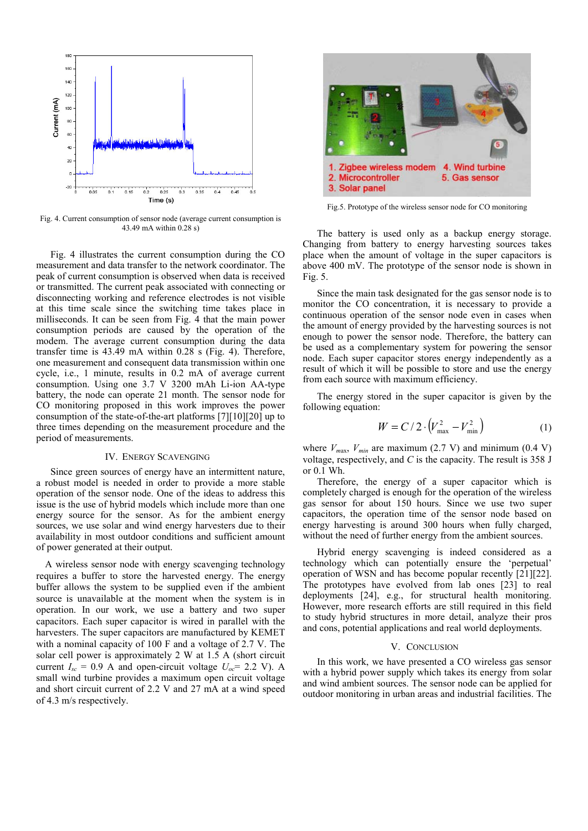

Fig. 4. Current consumption of sensor node (average current consumption is 43.49 mA within 0.28 s)

Fig. 4 illustrates the current consumption during the CO measurement and data transfer to the network coordinator. The peak of current consumption is observed when data is received or transmitted. The current peak associated with connecting or disconnecting working and reference electrodes is not visible at this time scale since the switching time takes place in milliseconds. It can be seen from Fig. 4 that the main power consumption periods are caused by the operation of the modem. The average current consumption during the data transfer time is 43.49 mA within 0.28 s (Fig. 4). Therefore, one measurement and consequent data transmission within one cycle, i.e., 1 minute, results in 0.2 mA of average current consumption. Using one 3.7 V 3200 mAh Li-ion AA-type battery, the node can operate 21 month. The sensor node for CO monitoring proposed in this work improves the power consumption of the state-of-the-art platforms [7][10][20] up to three times depending on the measurement procedure and the period of measurements.

## IV. ENERGY SCAVENGING

Since green sources of energy have an intermittent nature, a robust model is needed in order to provide a more stable operation of the sensor node. One of the ideas to address this issue is the use of hybrid models which include more than one energy source for the sensor. As for the ambient energy sources, we use solar and wind energy harvesters due to their availability in most outdoor conditions and sufficient amount of power generated at their output.

A wireless sensor node with energy scavenging technology requires a buffer to store the harvested energy. The energy buffer allows the system to be supplied even if the ambient source is unavailable at the moment when the system is in operation. In our work, we use a battery and two super capacitors. Each super capacitor is wired in parallel with the harvesters. The super capacitors are manufactured by KEMET with a nominal capacity of 100 F and a voltage of 2.7 V. The solar cell power is approximately 2 W at 1.5 A (short circuit current  $I_{sc} = 0.9$  A and open-circuit voltage  $U_{oc} = 2.2$  V). A small wind turbine provides a maximum open circuit voltage and short circuit current of 2.2 V and 27 mA at a wind speed of 4.3 m/s respectively.



Fig.5. Prototype of the wireless sensor node for CO monitoring

The battery is used only as a backup energy storage. Changing from battery to energy harvesting sources takes place when the amount of voltage in the super capacitors is above 400 mV. The prototype of the sensor node is shown in Fig. 5.

Since the main task designated for the gas sensor node is to monitor the CO concentration, it is necessary to provide a continuous operation of the sensor node even in cases when the amount of energy provided by the harvesting sources is not enough to power the sensor node. Therefore, the battery can be used as a complementary system for powering the sensor node. Each super capacitor stores energy independently as a result of which it will be possible to store and use the energy from each source with maximum efficiency.

The energy stored in the super capacitor is given by the following equation:

$$
W = C / 2 \cdot \left( V_{\text{max}}^2 - V_{\text{min}}^2 \right) \tag{1}
$$

where  $V_{max}$ ,  $V_{min}$  are maximum (2.7 V) and minimum (0.4 V) voltage, respectively, and *C* is the capacity. The result is 358 J or 0.1 Wh.

Therefore, the energy of a super capacitor which is completely charged is enough for the operation of the wireless gas sensor for about 150 hours. Since we use two super capacitors, the operation time of the sensor node based on energy harvesting is around 300 hours when fully charged, without the need of further energy from the ambient sources.

Hybrid energy scavenging is indeed considered as a technology which can potentially ensure the 'perpetual' operation of WSN and has become popular recently [21][22]. The prototypes have evolved from lab ones [23] to real deployments [24], e.g., for structural health monitoring. However, more research efforts are still required in this field to study hybrid structures in more detail, analyze their pros and cons, potential applications and real world deployments.

## V. CONCLUSION

In this work, we have presented a CO wireless gas sensor with a hybrid power supply which takes its energy from solar and wind ambient sources. The sensor node can be applied for outdoor monitoring in urban areas and industrial facilities. The